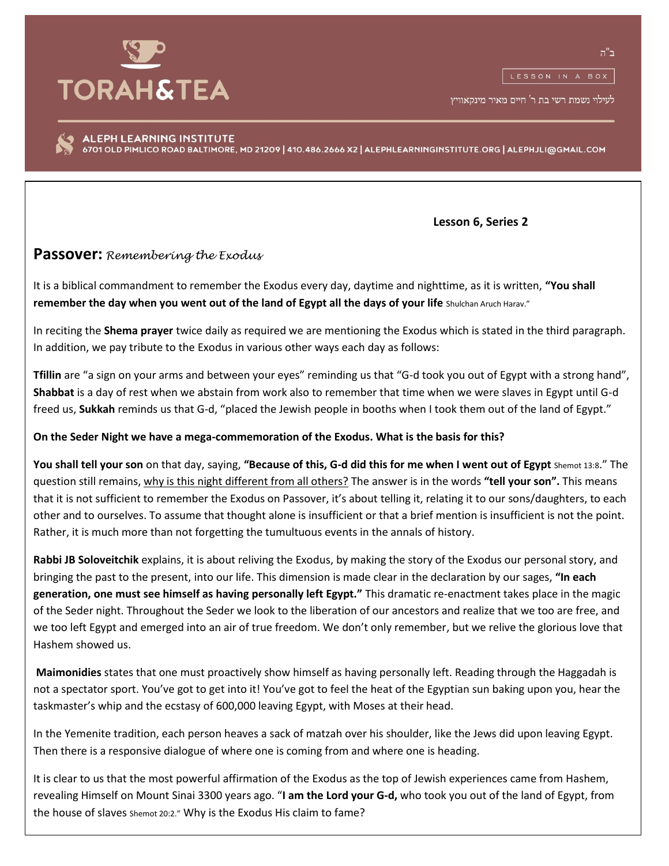

לעילוי נשמת רשי בת ר' חיים מאיר מינקאוויץ

ALEPH LEARNING INSTITUTE 6701 OLD PIMLICO ROAD BALTIMORE, MD 21209 | 410.486.2666 X2 | ALEPHLEARNINGINSTITUTE.ORG | ALEPHJLI@GMAIL.COM

 **Lesson 6, Series 2**

## **Passover:** *Remembering the Exodus*

It is a biblical commandment to remember the Exodus every day, daytime and nighttime, as it is written, **"You shall remember the day when you went out of the land of Egypt all the days of your life** Shulchan Aruch Harav."

In reciting the **Shema prayer** twice daily as required we are mentioning the Exodus which is stated in the third paragraph. In addition, we pay tribute to the Exodus in various other ways each day as follows:

**Tfillin** are "a sign on your arms and between your eyes" reminding us that "G-d took you out of Egypt with a strong hand", **Shabbat** is a day of rest when we abstain from work also to remember that time when we were slaves in Egypt until G-d freed us, **Sukkah** reminds us that G-d, "placed the Jewish people in booths when I took them out of the land of Egypt."

## **On the Seder Night we have a mega-commemoration of the Exodus. What is the basis for this?**

**You shall tell your son** on that day, saying, **"Because of this, G-d did this for me when I went out of Egypt** Shemot 13:8." The question still remains, why is this night different from all others? The answer is in the words **"tell your son".** This means that it is not sufficient to remember the Exodus on Passover, it's about telling it, relating it to our sons/daughters, to each other and to ourselves. To assume that thought alone is insufficient or that a brief mention is insufficient is not the point. Rather, it is much more than not forgetting the tumultuous events in the annals of history.

**Rabbi JB Soloveitchik** explains, it is about reliving the Exodus, by making the story of the Exodus our personal story, and bringing the past to the present, into our life. This dimension is made clear in the declaration by our sages, **"In each generation, one must see himself as having personally left Egypt."** This dramatic re-enactment takes place in the magic of the Seder night. Throughout the Seder we look to the liberation of our ancestors and realize that we too are free, and we too left Egypt and emerged into an air of true freedom. We don't only remember, but we relive the glorious love that Hashem showed us.

**Maimonidies** states that one must proactively show himself as having personally left. Reading through the Haggadah is not a spectator sport. You've got to get into it! You've got to feel the heat of the Egyptian sun baking upon you, hear the taskmaster's whip and the ecstasy of 600,000 leaving Egypt, with Moses at their head.

In the Yemenite tradition, each person heaves a sack of matzah over his shoulder, like the Jews did upon leaving Egypt. Then there is a responsive dialogue of where one is coming from and where one is heading.

It is clear to us that the most powerful affirmation of the Exodus as the top of Jewish experiences came from Hashem, revealing Himself on Mount Sinai 3300 years ago. "**I am the Lord your G-d,** who took you out of the land of Egypt, from the house of slaves Shemot 20:2." Why is the Exodus His claim to fame?